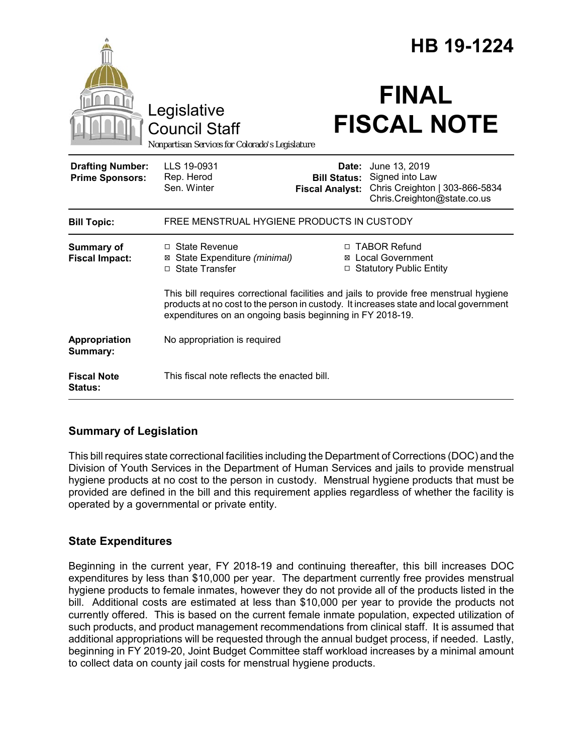|                                                   |                                                                                                                                                                                                                                              |                                               | HB 19-1224                                                                                              |  |
|---------------------------------------------------|----------------------------------------------------------------------------------------------------------------------------------------------------------------------------------------------------------------------------------------------|-----------------------------------------------|---------------------------------------------------------------------------------------------------------|--|
|                                                   | Legislative<br><b>Council Staff</b><br>Nonpartisan Services for Colorado's Legislature                                                                                                                                                       |                                               | <b>FINAL</b><br><b>FISCAL NOTE</b>                                                                      |  |
| <b>Drafting Number:</b><br><b>Prime Sponsors:</b> | LLS 19-0931<br>Rep. Herod<br>Sen. Winter                                                                                                                                                                                                     | <b>Bill Status:</b><br><b>Fiscal Analyst:</b> | Date: June 13, 2019<br>Signed into Law<br>Chris Creighton   303-866-5834<br>Chris.Creighton@state.co.us |  |
| <b>Bill Topic:</b>                                | FREE MENSTRUAL HYGIENE PRODUCTS IN CUSTODY                                                                                                                                                                                                   |                                               |                                                                                                         |  |
| Summary of<br><b>Fiscal Impact:</b>               | $\Box$ State Revenue<br>⊠ State Expenditure (minimal)<br>□ State Transfer                                                                                                                                                                    | $\Box$                                        | □ TABOR Refund<br>⊠ Local Government<br><b>Statutory Public Entity</b>                                  |  |
|                                                   | This bill requires correctional facilities and jails to provide free menstrual hygiene<br>products at no cost to the person in custody. It increases state and local government<br>expenditures on an ongoing basis beginning in FY 2018-19. |                                               |                                                                                                         |  |
| Appropriation<br>Summary:                         | No appropriation is required                                                                                                                                                                                                                 |                                               |                                                                                                         |  |
| <b>Fiscal Note</b><br>Status:                     | This fiscal note reflects the enacted bill.                                                                                                                                                                                                  |                                               |                                                                                                         |  |

# **Summary of Legislation**

This bill requires state correctional facilities including the Department of Corrections (DOC) and the Division of Youth Services in the Department of Human Services and jails to provide menstrual hygiene products at no cost to the person in custody. Menstrual hygiene products that must be provided are defined in the bill and this requirement applies regardless of whether the facility is operated by a governmental or private entity.

## **State Expenditures**

Beginning in the current year, FY 2018-19 and continuing thereafter, this bill increases DOC expenditures by less than \$10,000 per year. The department currently free provides menstrual hygiene products to female inmates, however they do not provide all of the products listed in the bill. Additional costs are estimated at less than \$10,000 per year to provide the products not currently offered. This is based on the current female inmate population, expected utilization of such products, and product management recommendations from clinical staff. It is assumed that additional appropriations will be requested through the annual budget process, if needed. Lastly, beginning in FY 2019-20, Joint Budget Committee staff workload increases by a minimal amount to collect data on county jail costs for menstrual hygiene products.